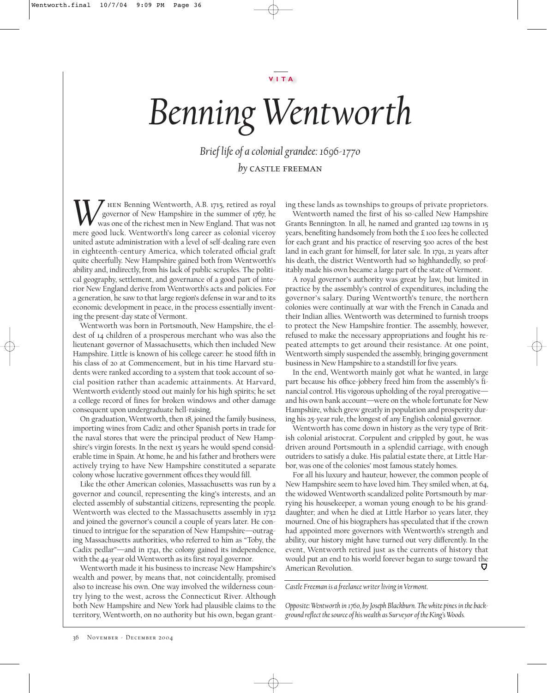## *Benning Wentworth*

*Brief life of a colonial grandee: 1696-1770 by* castle freeman

 $\tau$  HEN Benning Wentworth, A.B. 1715, retired as royal governor of New Hampshire in the summer of 1767, he was one of the richest men in New England. That was not **W** Hern Benning Wentworth, A.B. 1715, retired as royal governor of New Hampshire in the summer of 1767, he was one of the richest men in New England. That was not mere good luck. Wentworth's long career as colonial vicero united astute administration with a level of self-dealing rare even in eighteenth-century America, which tolerated official graft quite cheerfully. New Hampshire gained both from Wentworth's ability and, indirectly, from his lack of public scruples. The political geography, settlement, and governance of a good part of interior New England derive from Wentworth's acts and policies. For a generation, he saw to that large region's defense in war and to its economic development in peace, in the process essentially inventing the present-day state of Vermont.

Wentworth was born in Portsmouth, New Hampshire, the eldest of 14 children of a prosperous merchant who was also the lieutenant governor of Massachusetts, which then included New Hampshire. Little is known of his college career: he stood fifth in his class of 20 at Commencement, but in his time Harvard students were ranked according to a system that took account of social position rather than academic attainments. At Harvard, Wentworth evidently stood out mainly for his high spirits; he set a college record of fines for broken windows and other damage consequent upon undergraduate hell-raising.

On graduation, Wentworth, then 18, joined the family business, importing wines from Cadiz and other Spanish ports in trade for the naval stores that were the principal product of New Hampshire's virgin forests. In the next 15 years he would spend considerable time in Spain. At home, he and his father and brothers were actively trying to have New Hampshire constituted a separate colony whose lucrative government offices they would fill.

Like the other American colonies, Massachusetts was run by a governor and council, representing the king's interests, and an elected assembly of substantial citizens, representing the people. Wentworth was elected to the Massachusetts assembly in 1732 and joined the governor's council a couple of years later. He continued to intrigue for the separation of New Hampshire—outraging Massachusetts authorities, who referred to him as "Toby, the Cadix pedlar"—and in 1741, the colony gained its independence, with the 44-year old Wentworth as its first royal governor.

Wentworth made it his business to increase New Hampshire's wealth and power, by means that, not coincidentally, promised also to increase his own. One way involved the wilderness country lying to the west, across the Connecticut River. Although both New Hampshire and New York had plausible claims to the territory, Wentworth, on no authority but his own, began granting these lands as townships to groups of private proprietors.

Wentworth named the first of his so-called New Hampshire Grants Bennington. In all, he named and granted 129 towns in 15 years, benefiting handsomely from both the £ 100 fees he collected for each grant and his practice of reserving 500 acres of the best land in each grant for himself, for later sale. In 1791, 21 years after his death, the district Wentworth had so highhandedly, so profitably made his own became a large part of the state of Vermont.

A royal governor's authority was great by law, but limited in practice by the assembly's control of expenditures, including the governor's salary. During Wentworth's tenure, the northern colonies were continually at war with the French in Canada and their Indian allies. Wentworth was determined to furnish troops to protect the New Hampshire frontier. The assembly, however, refused to make the necessary appropriations and fought his repeated attempts to get around their resistance. At one point, Wentworth simply suspended the assembly, bringing government business in New Hampshire to a standstill for five years.

In the end, Wentworth mainly got what he wanted, in large part because his office-jobbery freed him from the assembly's financial control. His vigorous upholding of the royal prerogative and his own bank account—were on the whole fortunate for New Hampshire, which grew greatly in population and prosperity during his 25-year rule, the longest of any English colonial governor.

Wentworth has come down in history as the very type of British colonial aristocrat. Corpulent and crippled by gout, he was driven around Portsmouth in a splendid carriage, with enough outriders to satisfy a duke. His palatial estate there, at Little Harbor, was one of the colonies' most famous stately homes.

For all his luxury and hauteur, however, the common people of New Hampshire seem to have loved him. They smiled when, at 64, the widowed Wentworth scandalized polite Portsmouth by marrying his housekeeper, a woman young enough to be his granddaughter; and when he died at Little Harbor 10 years later, they mourned. One of his biographers has speculated that if the crown had appointed more governors with Wentworth's strength and ability, our history might have turned out very differently. In the event, Wentworth retired just as the currents of history that would put an end to his world forever began to surge toward the U American Revolution.

*Castle Freeman is a freelance writer living in Vermont.*

*Opposite: Wentworth in 1760, by Joseph Blackburn. The white pines in the background reflect the source of his wealth as Surveyor of the King's Woods.*